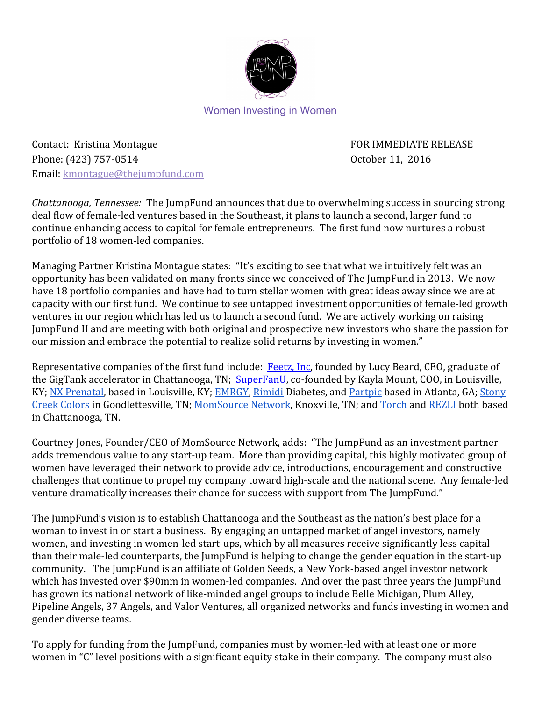

Women Investing in Women

Contact: Kristina Montague **FOR IMMEDIATE RELEASE** Phone: (423) 757-0514 Coroler 11, 2016 Email: kmontague@thejumpfund.com

*Chattanooga, Tennessee:* The JumpFund announces that due to overwhelming success in sourcing strong deal flow of female-led ventures based in the Southeast, it plans to launch a second, larger fund to continue enhancing access to capital for female entrepreneurs. The first fund now nurtures a robust portfolio of 18 women-led companies.

Managing Partner Kristina Montague states: "It's exciting to see that what we intuitively felt was an opportunity has been validated on many fronts since we conceived of The JumpFund in 2013. We now have 18 portfolio companies and have had to turn stellar women with great ideas away since we are at capacity with our first fund. We continue to see untapped investment opportunities of female-led growth ventures in our region which has led us to launch a second fund. We are actively working on raising JumpFund II and are meeting with both original and prospective new investors who share the passion for our mission and embrace the potential to realize solid returns by investing in women."

Representative companies of the first fund include: [Feetz, Inc,](http://www.feetz.co/) founded by Lucy Beard, CEO, graduate of the GigTank accelerator in Chattanooga, TN; [SuperFanU,](http://www.superfanu.com/) co-founded by Kayla Mount, COO, in Louisville, KY; [NX Prenatal,](http://www.nxprenatal.com/) based in Louisville, KY; [EMRGY](http://www.emrgyinc.com/), [Rimidi](http://www.rimidi.com/) Diabetes, and [Partpic](http://www.partpic.com/) based in Atlanta, GA; [Stony](http://stonycreekcolors.com/) [Creek Colors](http://stonycreekcolors.com/) in Goodlettesville, TN; [MomSource Network,](http://momsourcenetwork.com/) Knoxville, TN; and [Torch](http://www.mytorch.com/) and [REZLI](https://www.rezli.com/) both based in Chattanooga, TN.

Courtney Jones, Founder/CEO of MomSource Network, adds: "The JumpFund as an investment partner adds tremendous value to any start-up team. More than providing capital, this highly motivated group of women have leveraged their network to provide advice, introductions, encouragement and constructive challenges that continue to propel my company toward high-scale and the national scene. Any female-led venture dramatically increases their chance for success with support from The JumpFund."

The JumpFund's vision is to establish Chattanooga and the Southeast as the nation's best place for a woman to invest in or start a business. By engaging an untapped market of angel investors, namely women, and investing in women-led start-ups, which by all measures receive significantly less capital than their male-led counterparts, the JumpFund is helping to change the gender equation in the start-up community. The JumpFund is an affiliate of Golden Seeds, a New York-based angel investor network which has invested over \$90mm in women-led companies. And over the past three years the JumpFund has grown its national network of like-minded angel groups to include Belle Michigan, Plum Alley, Pipeline Angels, 37 Angels, and Valor Ventures, all organized networks and funds investing in women and gender diverse teams.

To apply for funding from the JumpFund, companies must by women-led with at least one or more women in "C" level positions with a significant equity stake in their company. The company must also